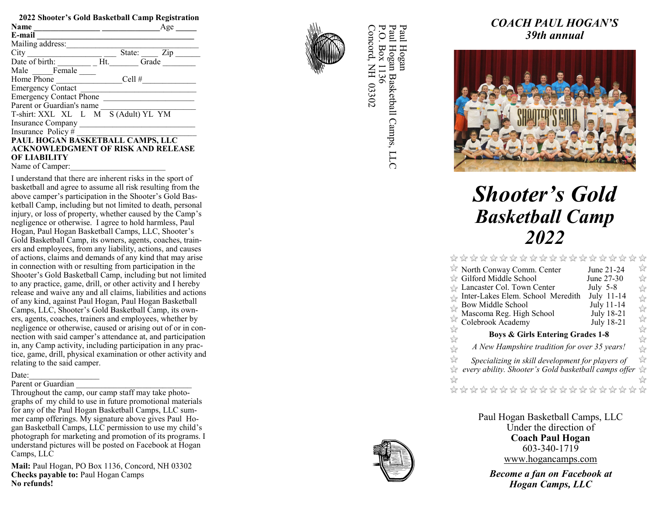| 2022 Shooter's Gold Basketball Camp Registration |       |
|--------------------------------------------------|-------|
| <b>Name</b>                                      | Age   |
| E-mail                                           |       |
| Mailing address:                                 |       |
| City<br>State:                                   | Zip   |
| Date of birth:<br>Ht.                            | Grade |
| Male Female                                      |       |
| Home Phone<br>Cell#                              |       |
| <b>Emergency Contact</b>                         |       |
| <b>Emergency Contact Phone</b>                   |       |
| Parent or Guardian's name                        |       |
| T-shirt: XXL XL L M S (Adult) YL YM              |       |
| Insurance Company                                |       |
| Insurance Policy#                                |       |
| PAUL HOGAN BASKETBALL CAMPS, LLC                 |       |
| <b>ACKNOWLEDGMENT OF RISK AND RELEASE</b>        |       |
| ОҒ LIABILITY                                     |       |
| Name of Camper:                                  |       |

I understand that there are inherent risks in the sport of basketball and agree to assume all risk resulting from the above camper 's participation in the Shooter 's Gold Basketball Camp, including but not limited to death, personal injury, or loss of property, whether caused by the Camp 's negligence or otherwise. I agree to hold harmless, Paul Hogan, Paul Hogan Basketball Camps, LLC, Shooter 's Gold Basketball Camp, its owners, agents, coaches, trainers and employees, from any liability, actions, and causes of actions, claims and demands of any kind that may arise in connection with or resulting from participation in the Shooter 's Gold Basketball Camp, including but not limited to any practice, game, drill, or other activity and I hereby release and waive any and all claims, liabilities and actions of any kind, against Paul Hogan, Paul Hogan Basketball Camps, LLC, Shooter 's Gold Basketball Camp, its owners, agents, coaches, trainers and employees, whether by negligence or otherwise, caused or arising out of or in connection with said camper's attendance at, and participation in, any Camp activity, including participation in any practice, game, drill, physical examination or other activity and relating to the said camper.

#### Date:

#### Parent or Guardian

Throughout the camp, our camp staff may take photographs of my child to use in future promotional materials for any of the Paul Hogan Basketball Camps, LLC summer camp offerings. My signature above gives Paul Hogan Basketball Camps, LLC permission to use my child's photograph for marketing and promotion of its programs. I understand pictures will be posted on Facebook at Hogan Camps, LLC

**Mail:** Paul Hogan, PO Box 1136, Concord, NH 03302 **Checks payable to:** Paul Hogan Camps **No refunds!**



Concord, NH 03302 P.O. Box 1136 Paul Hogan Basketball Camps, LLC Paul Hogan Paul P.O. Box 1136  $[na]$ oncord, NH 03302 l Hogan Hogan Basketball Camps, LLC

## *COACH PAUL HOGAN 'S 39th annual*



# *Shooter 's Gold Basketball Camp 2022*

## 

| North Conway Comm. Center                                                                  | June 21-24 | $\approx$                          |  |  |
|--------------------------------------------------------------------------------------------|------------|------------------------------------|--|--|
| Gilford Middle School                                                                      | June 27-30 | $\sqrt{\frac{1}{2}}$               |  |  |
| $\rightarrow$ Lancaster Col. Town Center                                                   | July 5-8   | $\approx$                          |  |  |
| Inter-Lakes Elem. School Meredith                                                          | July 11-14 | $\approx$                          |  |  |
| Bow Middle School                                                                          | July 11-14 | $\overleftrightarrow{\mathcal{U}}$ |  |  |
| Mascoma Reg. High School                                                                   | July 18-21 | $\sqrt{\frac{1}{2}}$               |  |  |
| Colebrook Academy                                                                          | July 18-21 | $\sqrt{\frac{1}{2}}$               |  |  |
| $\sqrt{\frac{1}{2}}$<br><b>Boys &amp; Girls Entering Grades 1-8</b><br>$\frac{1}{2}$<br>57 |            |                                    |  |  |
| A New Hampshire tradition for over 35 years!<br>$\overline{z}$                             |            | $\sqrt{\phantom{a}}$               |  |  |
| $\overleftrightarrow{\mathbf{r}}$<br>Specializing in skill development for players of      |            | $\approx$                          |  |  |
| every ability. Shooter's Gold basketball camps offer                                       |            | $\overleftrightarrow{\mathbf{r}}$  |  |  |
|                                                                                            |            |                                    |  |  |
| ********************                                                                       |            |                                    |  |  |

Paul Hogan Basketball Camps, LLC Under the direction of **Coach Paul Hogan** 603 -340 -1719 www.hogancamps.com

*Become a fan on Facebook at Hogan Camps, LLC*